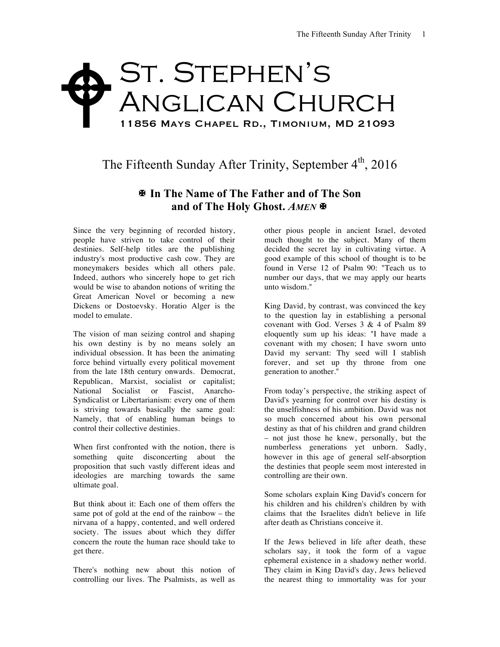## St. Stephen's Anglican Church 11856 Mays Chapel Rd., Timonium, MD 21093  $\blacklozenge$

The Fifteenth Sunday After Trinity, September  $4<sup>th</sup>$ , 2016

## X **In The Name of The Father and of The Son and of The Holy Ghost.** *AMEN* X

Since the very beginning of recorded history, people have striven to take control of their destinies. Self-help titles are the publishing industry's most productive cash cow. They are moneymakers besides which all others pale. Indeed, authors who sincerely hope to get rich would be wise to abandon notions of writing the Great American Novel or becoming a new Dickens or Dostoevsky. Horatio Alger is the model to emulate.

The vision of man seizing control and shaping his own destiny is by no means solely an individual obsession. It has been the animating force behind virtually every political movement from the late 18th century onwards. Democrat, Republican, Marxist, socialist or capitalist; National Socialist or Fascist, Anarcho-Syndicalist or Libertarianism: every one of them is striving towards basically the same goal: Namely, that of enabling human beings to control their collective destinies.

When first confronted with the notion, there is something quite disconcerting about the proposition that such vastly different ideas and ideologies are marching towards the same ultimate goal.

But think about it: Each one of them offers the same pot of gold at the end of the rainbow – the nirvana of a happy, contented, and well ordered society. The issues about which they differ concern the route the human race should take to get there.

There's nothing new about this notion of controlling our lives. The Psalmists, as well as

other pious people in ancient Israel, devoted much thought to the subject. Many of them decided the secret lay in cultivating virtue. A good example of this school of thought is to be found in Verse 12 of Psalm 90: "Teach us to number our days, that we may apply our hearts unto wisdom."

King David, by contrast, was convinced the key to the question lay in establishing a personal covenant with God. Verses 3 & 4 of Psalm 89 eloquently sum up his ideas: "I have made a covenant with my chosen; I have sworn unto David my servant: Thy seed will I stablish forever, and set up thy throne from one generation to another."

From today's perspective, the striking aspect of David's yearning for control over his destiny is the unselfishness of his ambition. David was not so much concerned about his own personal destiny as that of his children and grand children – not just those he knew, personally, but the numberless generations yet unborn. Sadly, however in this age of general self-absorption the destinies that people seem most interested in controlling are their own.

Some scholars explain King David's concern for his children and his children's children by with claims that the Israelites didn't believe in life after death as Christians conceive it.

If the Jews believed in life after death, these scholars say, it took the form of a vague ephemeral existence in a shadowy nether world. They claim in King David's day, Jews believed the nearest thing to immortality was for your